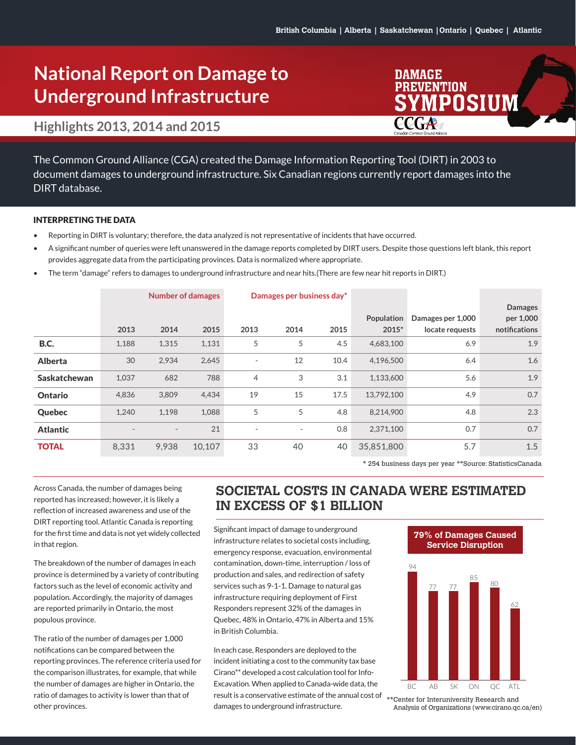**DAMAGE PREVENTION** 

**CCGA** 

MPOSIUM

# **National Report on Damage to Underground Infrastructure**

### **Highlights 2013, 2014 and 2015**

The Common Ground Alliance (CGA) created the Damage Information Reporting Tool (DIRT) in 2003 to document damages to underground infrastructure. Six Canadian regions currently report damages into the DIRT database.

#### INTERPRETING THE DATA

- Reporting in DIRT is voluntary; therefore, the data analyzed is not representative of incidents that have occurred.
- A significant number of queries were left unanswered in the damage reports completed by DIRT users. Despite those questions left blank, this report provides aggregate data from the participating provinces. Data is normalized where appropriate.
- The term "damage" refers to damages to underground infrastructure and near hits.(There are few near hit reports in DIRT.)

|                     | <b>Number of damages</b> |                          |        | Damages per business day* |                          |      |            |                   |                |
|---------------------|--------------------------|--------------------------|--------|---------------------------|--------------------------|------|------------|-------------------|----------------|
|                     |                          |                          |        |                           |                          |      |            |                   | <b>Damages</b> |
|                     |                          |                          |        |                           |                          |      | Population | Damages per 1,000 | per 1,000      |
|                     | 2013                     | 2014                     | 2015   | 2013                      | 2014                     | 2015 | 2015*      | locate requests   | notifications  |
| <b>B.C.</b>         | 1,188                    | 1,315                    | 1,131  | 5                         | 5                        | 4.5  | 4,683,100  | 6.9               | 1.9            |
| <b>Alberta</b>      | 30                       | 2,934                    | 2,645  | $\overline{\phantom{a}}$  | 12                       | 10.4 | 4,196,500  | 6.4               | 1.6            |
| <b>Saskatchewan</b> | 1,037                    | 682                      | 788    | $\overline{4}$            | 3                        | 3.1  | 1,133,600  | 5.6               | 1.9            |
| <b>Ontario</b>      | 4,836                    | 3,809                    | 4,434  | 19                        | 15                       | 17.5 | 13,792,100 | 4.9               | 0.7            |
| Quebec              | 1,240                    | 1,198                    | 1,088  | 5                         | 5                        | 4.8  | 8,214,900  | 4.8               | 2.3            |
| <b>Atlantic</b>     |                          | $\overline{\phantom{a}}$ | 21     | $\overline{\phantom{a}}$  | $\overline{\phantom{a}}$ | 0.8  | 2,371,100  | 0.7               | 0.7            |
| <b>TOTAL</b>        | 8,331                    | 9,938                    | 10,107 | 33                        | 40                       | 40   | 35,851,800 | 5.7               | 1.5            |

\* 254 business days per year \*\*Source: StatisticsCanada

Across Canada, the number of damages being reported has increased; however, it is likely a reflection of increased awareness and use of the DIRT reporting tool. Atlantic Canada is reporting for the first time and data is not yet widely collected in that region.

The breakdown of the number of damages in each province is determined by a variety of contributing factors such as the level of economic activity and population. Accordingly, the majority of damages are reported primarily in Ontario, the most populous province.

The ratio of the number of damages per 1,000 notifications can be compared between the reporting provinces. The reference criteria used for the comparison illustrates, for example, that while the number of damages are higher in Ontario, the ratio of damages to activity is lower than that of other provinces.

### **SOCIETAL COSTS IN CANADA WERE ESTIMATED IN EXCESS OF \$1 BILLION**

Significant impact of damage to underground infrastructure relates to societal costs including, emergency response, evacuation, environmental contamination, down-time, interruption / loss of production and sales, and redirection of safety services such as 9-1-1. Damage to natural gas infrastructure requiring deployment of First Responders represent 32% of the damages in Quebec, 48% in Ontario, 47% in Alberta and 15% in British Columbia.

In each case, Responders are deployed to the incident initiating a cost to the community tax base Cirano\*\* developed a cost calculation tool for Info-Excavation. When applied to Canada-wide data, the result is a conservative estimate of the annual cost of damages to underground infrastructure.



**79% of Damages Caused** 

\*\*Center for Interuniversity Research and Analysis of Organizations (www.cirano.qc.ca/en)